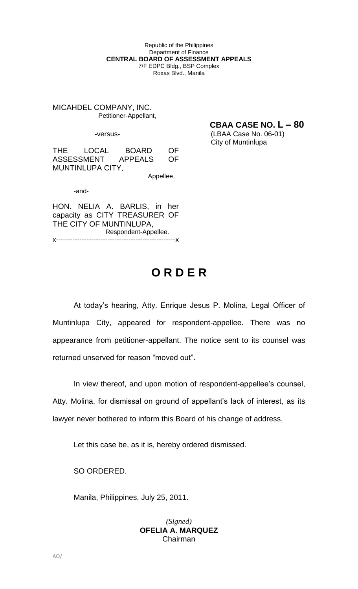Republic of the Philippines Department of Finance **CENTRAL BOARD OF ASSESSMENT APPEALS** 7/F EDPC Bldg., BSP Complex Roxas Blvd., Manila

MICAHDEL COMPANY, INC. Petitioner-Appellant,

**CBAA CASE NO. L – 80**

-versus- (LBAA Case No. 06-01) City of Muntinlupa

THE LOCAL BOARD OF ASSESSMENT APPEALS OF MUNTINLUPA CITY,

Appellee,

-and-

HON. NELIA A. BARLIS, in her capacity as CITY TREASURER OF THE CITY OF MUNTINLUPA, Respondent-Appellee. x---------------------------------------------------x

## **O R D E R**

At today's hearing, Atty. Enrique Jesus P. Molina, Legal Officer of Muntinlupa City, appeared for respondent-appellee. There was no appearance from petitioner-appellant. The notice sent to its counsel was returned unserved for reason "moved out".

In view thereof, and upon motion of respondent-appellee's counsel, Atty. Molina, for dismissal on ground of appellant's lack of interest, as its lawyer never bothered to inform this Board of his change of address,

Let this case be, as it is, hereby ordered dismissed.

SO ORDERED.

Manila, Philippines, July 25, 2011.

## *(Signed)* **OFELIA A. MARQUEZ** Chairman